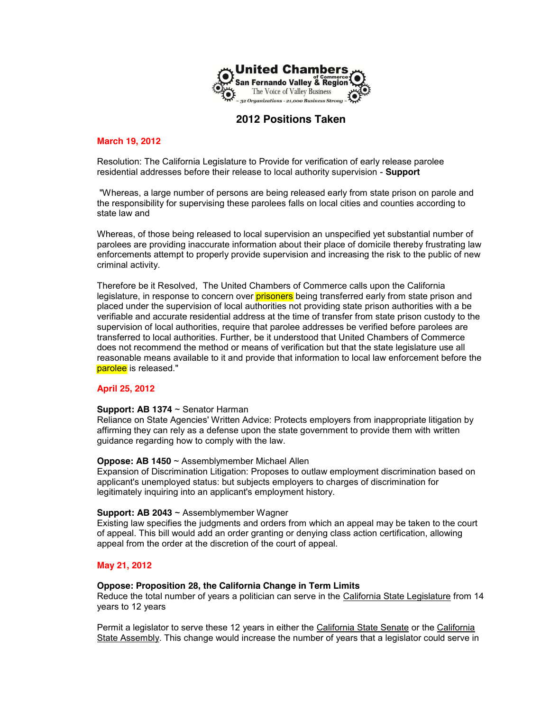

# **2012 Positions Taken**

# **March 19, 2012**

Resolution: The California Legislature to Provide for verification of early release parolee residential addresses before their release to local authority supervision - **Support**

"Whereas, a large number of persons are being released early from state prison on parole and the responsibility for supervising these parolees falls on local cities and counties according to state law and

Whereas, of those being released to local supervision an unspecified yet substantial number of parolees are providing inaccurate information about their place of domicile thereby frustrating law enforcements attempt to properly provide supervision and increasing the risk to the public of new criminal activity.

Therefore be it Resolved, The United Chambers of Commerce calls upon the California legislature, in response to concern over **prisoners** being transferred early from state prison and placed under the supervision of local authorities not providing state prison authorities with a be verifiable and accurate residential address at the time of transfer from state prison custody to the supervision of local authorities, require that parolee addresses be verified before parolees are transferred to local authorities. Further, be it understood that United Chambers of Commerce does not recommend the method or means of verification but that the state legislature use all reasonable means available to it and provide that information to local law enforcement before the parolee is released."

### **April 25, 2012**

### **Support: AB 1374** ~ Senator Harman

Reliance on State Agencies' Written Advice: Protects employers from inappropriate litigation by affirming they can rely as a defense upon the state government to provide them with written guidance regarding how to comply with the law.

### **Oppose: AB 1450** ~ Assemblymember Michael Allen

Expansion of Discrimination Litigation: Proposes to outlaw employment discrimination based on applicant's unemployed status: but subjects employers to charges of discrimination for legitimately inquiring into an applicant's employment history.

### **Support: AB 2043** ~ Assemblymember Wagner

Existing law specifies the judgments and orders from which an appeal may be taken to the court of appeal. This bill would add an order granting or denying class action certification, allowing appeal from the order at the discretion of the court of appeal.

# **May 21, 2012**

# **Oppose: Proposition 28, the California Change in Term Limits**

Reduce the total number of years a politician can serve in the California State Legislature from 14 years to 12 years

Permit a legislator to serve these 12 years in either the California State Senate or the California State Assembly. This change would increase the number of years that a legislator could serve in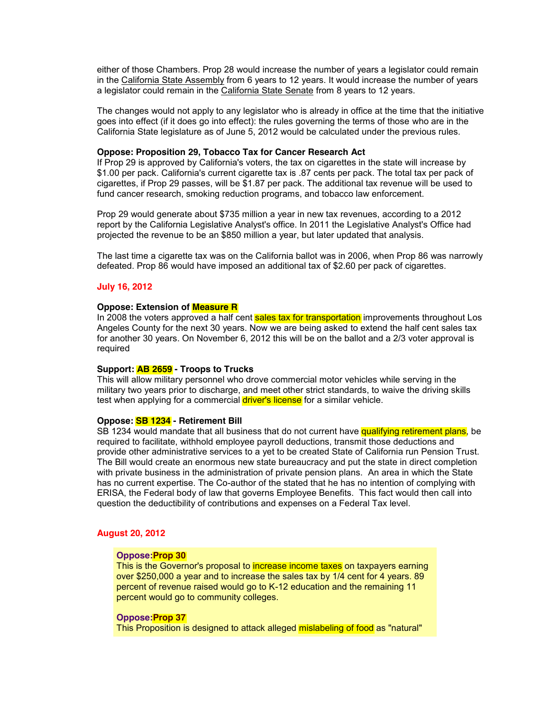either of those Chambers. Prop 28 would increase the number of years a legislator could remain in the California State Assembly from 6 years to 12 years. It would increase the number of years a legislator could remain in the California State Senate from 8 years to 12 years.

The changes would not apply to any legislator who is already in office at the time that the initiative goes into effect (if it does go into effect): the rules governing the terms of those who are in the California State legislature as of June 5, 2012 would be calculated under the previous rules.

# **Oppose: Proposition 29, Tobacco Tax for Cancer Research Act**

If Prop 29 is approved by California's voters, the tax on cigarettes in the state will increase by \$1.00 per pack. California's current cigarette tax is .87 cents per pack. The total tax per pack of cigarettes, if Prop 29 passes, will be \$1.87 per pack. The additional tax revenue will be used to fund cancer research, smoking reduction programs, and tobacco law enforcement.

Prop 29 would generate about \$735 million a year in new tax revenues, according to a 2012 report by the California Legislative Analyst's office. In 2011 the Legislative Analyst's Office had projected the revenue to be an \$850 million a year, but later updated that analysis.

The last time a cigarette tax was on the California ballot was in 2006, when Prop 86 was narrowly defeated. Prop 86 would have imposed an additional tax of \$2.60 per pack of cigarettes.

### **July 16, 2012**

#### **Oppose: Extension of Measure R**

In 2008 the voters approved a half cent sales tax for transportation improvements throughout Los Angeles County for the next 30 years. Now we are being asked to extend the half cent sales tax for another 30 years. On November 6, 2012 this will be on the ballot and a 2/3 voter approval is required

#### **Support: AB 2659 - Troops to Trucks**

This will allow military personnel who drove commercial motor vehicles while serving in the military two years prior to discharge, and meet other strict standards, to waive the driving skills test when applying for a commercial driver's license for a similar vehicle.

### **Oppose: SB 1234 - Retirement Bill**

SB 1234 would mandate that all business that do not current have **qualifying retirement plans**, be required to facilitate, withhold employee payroll deductions, transmit those deductions and provide other administrative services to a yet to be created State of California run Pension Trust. The Bill would create an enormous new state bureaucracy and put the state in direct completion with private business in the administration of private pension plans. An area in which the State has no current expertise. The Co-author of the stated that he has no intention of complying with ERISA, the Federal body of law that governs Employee Benefits. This fact would then call into question the deductibility of contributions and expenses on a Federal Tax level.

# **August 20, 2012**

#### **Oppose:Prop 30**

This is the Governor's proposal to increase income taxes on taxpayers earning over \$250,000 a year and to increase the sales tax by 1/4 cent for 4 years. 89 percent of revenue raised would go to K-12 education and the remaining 11 percent would go to community colleges.

### **Oppose:Prop 37**

This Proposition is designed to attack alleged mislabeling of food as "natural"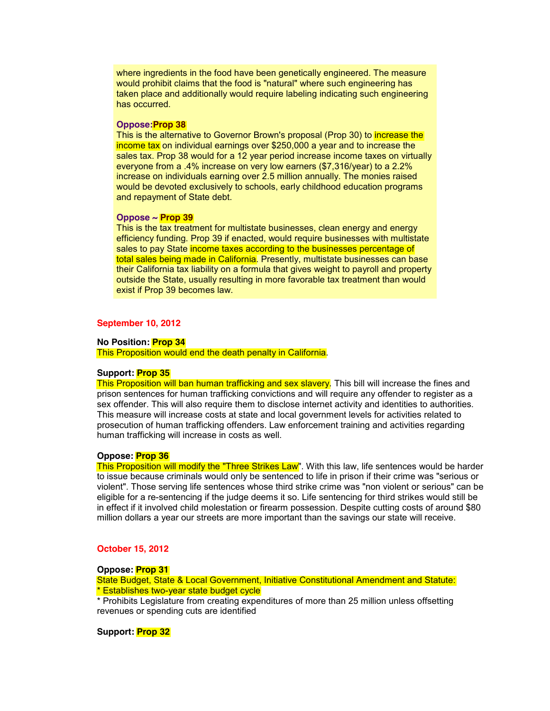where ingredients in the food have been genetically engineered. The measure would prohibit claims that the food is "natural" where such engineering has taken place and additionally would require labeling indicating such engineering has occurred.

#### **Oppose:Prop 38**

This is the alternative to Governor Brown's proposal (Prop 30) to increase the income tax on individual earnings over \$250,000 a year and to increase the sales tax. Prop 38 would for a 12 year period increase income taxes on virtually everyone from a .4% increase on very low earners (\$7,316/year) to a 2.2% increase on individuals earning over 2.5 million annually. The monies raised would be devoted exclusively to schools, early childhood education programs and repayment of State debt.

#### **Oppose ~ Prop 39**

This is the tax treatment for multistate businesses, clean energy and energy efficiency funding. Prop 39 if enacted, would require businesses with multistate sales to pay State income taxes according to the businesses percentage of total sales being made in California. Presently, multistate businesses can base their California tax liability on a formula that gives weight to payroll and property outside the State, usually resulting in more favorable tax treatment than would exist if Prop 39 becomes law.

### **September 10, 2012**

# **No Position: Prop 34**

This Proposition would end the death penalty in California.

#### **Support: Prop 35**

This Proposition will ban human trafficking and sex slavery. This bill will increase the fines and prison sentences for human trafficking convictions and will require any offender to register as a sex offender. This will also require them to disclose internet activity and identities to authorities. This measure will increase costs at state and local government levels for activities related to prosecution of human trafficking offenders. Law enforcement training and activities regarding human trafficking will increase in costs as well.

# **Oppose: Prop 36**

This Proposition will modify the "Three Strikes Law". With this law, life sentences would be harder to issue because criminals would only be sentenced to life in prison if their crime was "serious or violent". Those serving life sentences whose third strike crime was "non violent or serious" can be eligible for a re-sentencing if the judge deems it so. Life sentencing for third strikes would still be in effect if it involved child molestation or firearm possession. Despite cutting costs of around \$80 million dollars a year our streets are more important than the savings our state will receive.

# **October 15, 2012**

#### **Oppose: Prop 31**

State Budget, State & Local Government, Initiative Constitutional Amendment and Statute: \* Establishes two-year state budget cycle

\* Prohibits Legislature from creating expenditures of more than 25 million unless offsetting revenues or spending cuts are identified

### **Support: Prop 32**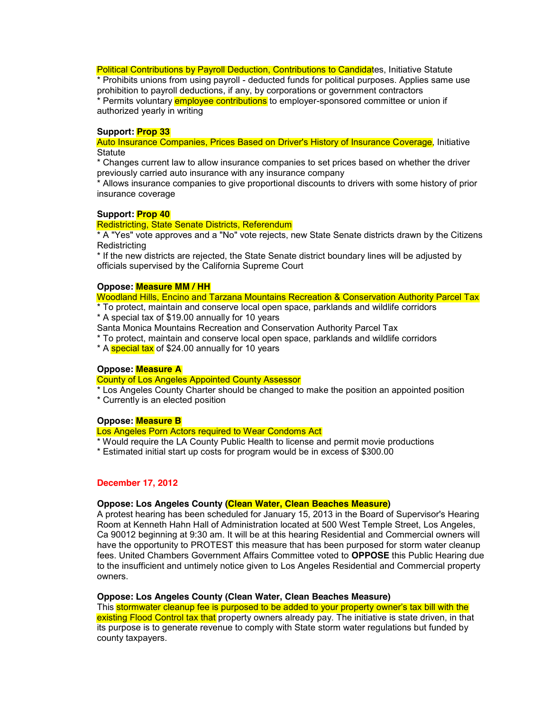Political Contributions by Payroll Deduction, Contributions to Candidates, Initiative Statute

\* Prohibits unions from using payroll - deducted funds for political purposes. Applies same use prohibition to payroll deductions, if any, by corporations or government contractors \* Permits voluntary **employee contributions** to employer-sponsored committee or union if authorized yearly in writing

# **Support: Prop 33**

Auto Insurance Companies, Prices Based on Driver's History of Insurance Coverage, Initiative **Statute** 

\* Changes current law to allow insurance companies to set prices based on whether the driver previously carried auto insurance with any insurance company

Allows insurance companies to give proportional discounts to drivers with some history of prior insurance coverage

### **Support: Prop 40**

### Redistricting, State Senate Districts, Referendum

\* A "Yes" vote approves and a "No" vote rejects, new State Senate districts drawn by the Citizens Redistricting

\* If the new districts are rejected, the State Senate district boundary lines will be adjusted by officials supervised by the California Supreme Court

### **Oppose: Measure MM / HH**

Woodland Hills, Encino and Tarzana Mountains Recreation & Conservation Authority Parcel Tax

- \* To protect, maintain and conserve local open space, parklands and wildlife corridors
- \* A special tax of \$19.00 annually for 10 years

Santa Monica Mountains Recreation and Conservation Authority Parcel Tax

\* To protect, maintain and conserve local open space, parklands and wildlife corridors

\* A special tax of \$24.00 annually for 10 years

# **Oppose: Measure A**

County of Los Angeles Appointed County Assessor

\* Los Angeles County Charter should be changed to make the position an appointed position \* Currently is an elected position

# **Oppose: Measure B**

Los Angeles Porn Actors required to Wear Condoms Act

- \* Would require the LA County Public Health to license and permit movie productions
- \* Estimated initial start up costs for program would be in excess of \$300.00

# **December 17, 2012**

# **Oppose: Los Angeles County (Clean Water, Clean Beaches Measure)**

A protest hearing has been scheduled for January 15, 2013 in the Board of Supervisor's Hearing Room at Kenneth Hahn Hall of Administration located at 500 West Temple Street, Los Angeles, Ca 90012 beginning at 9:30 am. It will be at this hearing Residential and Commercial owners will have the opportunity to PROTEST this measure that has been purposed for storm water cleanup fees. United Chambers Government Affairs Committee voted to **OPPOSE** this Public Hearing due to the insufficient and untimely notice given to Los Angeles Residential and Commercial property owners.

### **Oppose: Los Angeles County (Clean Water, Clean Beaches Measure)**

This stormwater cleanup fee is purposed to be added to your property owner's tax bill with the existing Flood Control tax that property owners already pay. The initiative is state driven, in that its purpose is to generate revenue to comply with State storm water regulations but funded by county taxpayers.